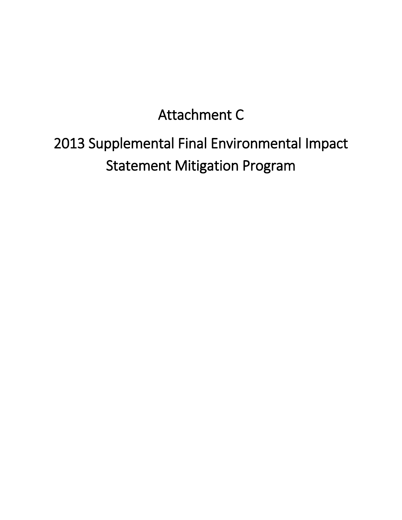## Attachment C

## 2013 Supplemental Final Environmental Impact Statement Mitigation Program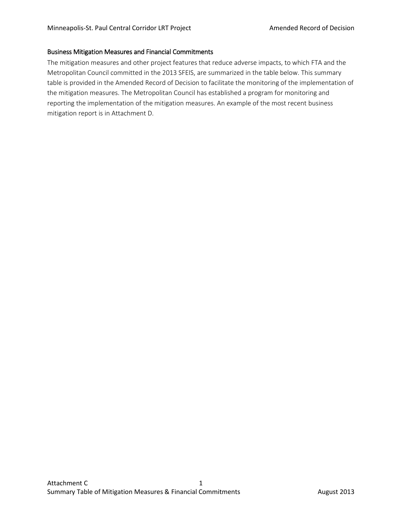## Business Mitigation Measures and Financial Commitments

The mitigation measures and other project features that reduce adverse impacts, to which FTA and the Metropolitan Council committed in the 2013 SFEIS, are summarized in the table below. This summary table is provided in the Amended Record of Decision to facilitate the monitoring of the implementation of the mitigation measures. The Metropolitan Council has established a program for monitoring and reporting the implementation of the mitigation measures. An example of the most recent business mitigation report is in Attachment D.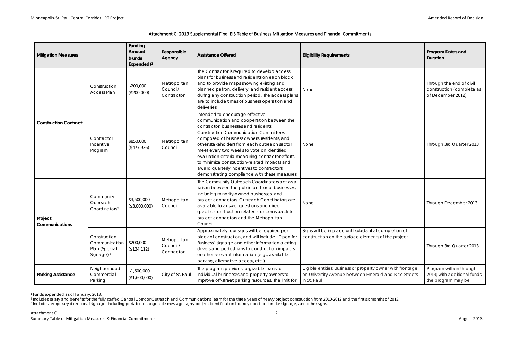<span id="page-2-2"></span><span id="page-2-1"></span><span id="page-2-0"></span>

| <b>Mitigation Measures</b>   |                                                                         | Funding<br>Amount<br>(Funds<br>Expended) $1$ | Responsible<br>Agency                   | <b>Assistance Offered</b>                                                                                                                                                                                                                                                                                                                                                                                                                                                                                            | <b>Eligibility Requirements</b>                                                                                                     | <b>Program Dates and</b><br>Duration                                          |
|------------------------------|-------------------------------------------------------------------------|----------------------------------------------|-----------------------------------------|----------------------------------------------------------------------------------------------------------------------------------------------------------------------------------------------------------------------------------------------------------------------------------------------------------------------------------------------------------------------------------------------------------------------------------------------------------------------------------------------------------------------|-------------------------------------------------------------------------------------------------------------------------------------|-------------------------------------------------------------------------------|
| <b>Construction Contract</b> | Construction<br><b>Access Plan</b>                                      | \$200,000<br>(\$200,000)                     | Metropolitan<br>Council/<br>Contractor  | The Contractor is required to develop access<br>plans for business and residents on each block<br>and to provide maps showing existing and<br>planned patron, delivery, and resident access<br>during any construction period. The access plans<br>are to include times of business operation and<br>deliveries.                                                                                                                                                                                                     | None                                                                                                                                | Through the end of civil<br>construction (complete as<br>of December 2012)    |
|                              | Contractor<br>Incentive<br>Program                                      | \$850,000<br>(\$477,936)                     | Metropolitan<br>Council                 | Intended to encourage effective<br>communication and cooperation between the<br>contractor, businesses and residents,<br><b>Construction Communication Committees</b><br>composed of business owners, residents, and<br>other stakeholders from each outreach sector<br>meet every two weeks to vote on identified<br>evaluation criteria measuring contractor efforts<br>to minimize construction-related impacts and<br>award quarterly incentives to contractors<br>demonstrating compliance with these measures. | None                                                                                                                                | Through 3rd Quarter 2013                                                      |
| Project<br>Communications    | Community<br>Outreach<br>Coordinators <sup>2</sup>                      | \$3,500,000<br>(\$3,000,000)                 | Metropolitan<br>Council                 | The Community Outreach Coordinators act as a<br>liaison between the public and local businesses,<br>including minority-owned businesses, and<br>project contractors. Outreach Coordinators are<br>available to answer questions and direct<br>specific construction-related concerns back to<br>project contractors and the Metropolitan<br>Council.                                                                                                                                                                 | None                                                                                                                                | Through December 2013                                                         |
|                              | Construction<br>Communication<br>Plan (Special<br>Signage) <sup>3</sup> | \$200,000<br>(\$134, 112)                    | Metropolitan<br>Council /<br>Contractor | Approximately four signs will be required per<br>block of construction, and will include "Open for<br>Business" signage and other information alerting<br>drivers and pedestrians to construction impacts<br>or other relevant information (e.g., available<br>parking, alternative access, etc.).                                                                                                                                                                                                                   | Signs will be in place until substantial completion of<br>construction on the surface elements of the project.                      | Through 3rd Quarter 2013                                                      |
| <b>Parking Assistance</b>    | Neighborhood<br>Commercial<br>Parking                                   | \$1,600,000<br>(\$1,600,000)                 | City of St. Paul                        | The program provides forgivable loans to<br>individual businesses and property owners to<br>improve off-street parking resources. The limit for                                                                                                                                                                                                                                                                                                                                                                      | Eligible entities: Business or property owner with frontage<br>on University Avenue between Emerald and Rice Streets<br>in St. Paul | Program will run through<br>2013; with additional funds<br>the program may be |

<sup>1</sup> Funds expended as of January, 2013.

 $\overline{a}$ 

<sup>&</sup>lt;sup>2</sup> Includes salary and benefits for the fully staffed Central Corridor Outreach and Communications Team for the three years of heavy project construction from 2010-2012 and the first six months of 2013. <sup>3</sup> Includes temporary directional signage, including portable changeable message signs, project identification boards, construction site signage, and other signs.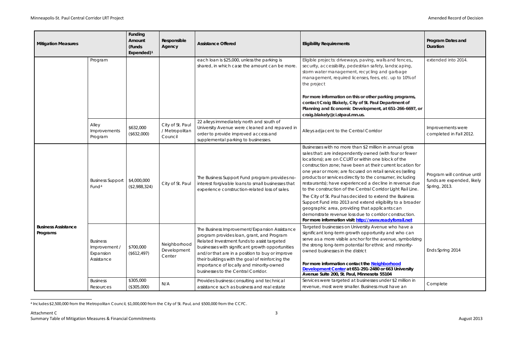<span id="page-3-0"></span>

| <b>Mitigation Measures</b>             |                                                             | Funding<br>Amount<br>(Funds<br>Expended) $1$ | Responsible<br>Agency                         | <b>Assistance Offered</b>                                                                                                                                                                                                                                                                                                                                                               | <b>Eligibility Requirements</b>                                                                                                                                                                                                                                                                                                                                                                                                                                                                                                                                                                                                                                                                                                                                                              | Program Dates and<br>Duration                                              |
|----------------------------------------|-------------------------------------------------------------|----------------------------------------------|-----------------------------------------------|-----------------------------------------------------------------------------------------------------------------------------------------------------------------------------------------------------------------------------------------------------------------------------------------------------------------------------------------------------------------------------------------|----------------------------------------------------------------------------------------------------------------------------------------------------------------------------------------------------------------------------------------------------------------------------------------------------------------------------------------------------------------------------------------------------------------------------------------------------------------------------------------------------------------------------------------------------------------------------------------------------------------------------------------------------------------------------------------------------------------------------------------------------------------------------------------------|----------------------------------------------------------------------------|
|                                        | Program                                                     |                                              |                                               | each loan is \$25,000, unless the parking is<br>shared, in which case the amount can be more.                                                                                                                                                                                                                                                                                           | Eligible projects: driveways, paving, walls and fences,,<br>security, accessibility, pedestrian safety, landscaping,<br>storm water management, recycling and garbage<br>management, required licenses, fees, etc. up to 10% of<br>the project<br>For more information on this or other parking programs,<br>contact Craig Blakely, City of St. Paul Department of<br>Planning and Economic Development, at 651-266-6697, or<br>craig.blakely@ci.stpaul.mn.us.                                                                                                                                                                                                                                                                                                                               | extended into 2014.                                                        |
|                                        | Alley<br>Improvements<br>Program                            | \$632,000<br>(\$632,000)                     | City of St. Paul<br>/ Metropolitan<br>Council | 22 alleys immediately north and south of<br>University Avenue were cleaned and repaved in<br>order to provide improved access and<br>supplemental parking to businesses.                                                                                                                                                                                                                | Alleys adjacent to the Central Corridor                                                                                                                                                                                                                                                                                                                                                                                                                                                                                                                                                                                                                                                                                                                                                      | Improvements were<br>completed in Fall 2012.                               |
| <b>Business Assistance</b><br>Programs | <b>Business Support</b><br>Fund <sup>4</sup>                | \$4,000,000<br>(\$2,988,324)                 | City of St. Paul                              | The Business Support Fund program provides no-<br>interest forgivable loans to small businesses that<br>experience construction-related loss of sales.                                                                                                                                                                                                                                  | Businesses with no more than \$2 million in annual gross<br>sales that: are independently owned (with four or fewer<br>locations); are on CCLRT or within one block of the<br>construction zone; have been at their current location for<br>one year or more; are focused on retail services (selling<br>products or services directly to the consumer, including<br>restaurants); have experienced a decline in revenue due<br>to the construction of the Central Corridor Light Rail Line.<br>The City of St. Paul has decided to extend the Business<br>Support Fund into 2013 and extend eligibility to a broader<br>geographic area, providing that applicants can<br>demonstrate revenue loss due to corridor construction.<br>For more information visit: http://www.readyforrail.net | Program will continue until<br>funds are expended, likely<br>Spring, 2013. |
|                                        | <b>Business</b><br>Improvement /<br>Expansion<br>Assistance | \$700,000<br>(\$612,497)                     | Neighborhood<br>Development<br>Center         | The Business Improvement/Expansion Assistance<br>program provides loan, grant, and Program<br>Related Investment funds to assist targeted<br>businesses with significant growth opportunities<br>and/or that are in a position to buy or improve<br>their buildings with the goal of reinforcing the<br>importance of locally and minority-owned<br>businesses to the Central Corridor. | Targeted businesses on University Avenue who have a<br>significant long-term growth opportunity and who can<br>serve as a more visible anchor for the avenue, symbolizing<br>the strong long-term potential for ethnic and minority-<br>owned businesses in the district<br>For more information contact the Neighborhood<br>Development Center at 651-291-2480 or 663 University<br>Avenue Suite 200, St. Paul, Minnesota 55104                                                                                                                                                                                                                                                                                                                                                             | Ends Spring 2014                                                           |
|                                        | <b>Business</b><br>Resources                                | \$305,000<br>(\$305,000)                     | N/A                                           | Provides business consulting and technical<br>assistance such as business and real estate                                                                                                                                                                                                                                                                                               | Services were targeted at businesses under \$2 million in<br>revenue, most were smaller. Business must have an                                                                                                                                                                                                                                                                                                                                                                                                                                                                                                                                                                                                                                                                               | Complete                                                                   |

l <sup>4</sup> Includes \$2,500,000 from the Metropolitan Council, \$1,000,000 from the City of St. Paul, and \$500,000 from the CCFC.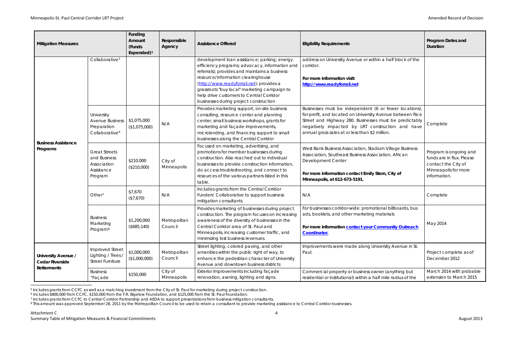| <b>Mitigation Measures</b>                                          |                                                                                   | Funding<br>Amount<br>(Funds<br>Expended) $1$ | Responsible<br>Agency   | <b>Assistance Offered</b>                                                                                                                                                                                                                                                                                                                                                | <b>Eligibility Requirements</b>                                                                                                                                                                                                                                                      | Program Dates and<br>Duration                                                                              |
|---------------------------------------------------------------------|-----------------------------------------------------------------------------------|----------------------------------------------|-------------------------|--------------------------------------------------------------------------------------------------------------------------------------------------------------------------------------------------------------------------------------------------------------------------------------------------------------------------------------------------------------------------|--------------------------------------------------------------------------------------------------------------------------------------------------------------------------------------------------------------------------------------------------------------------------------------|------------------------------------------------------------------------------------------------------------|
|                                                                     | Collaborative <sup>5</sup>                                                        |                                              |                         | development loan assistance; parking; energy<br>efficiency programs; advocacy, information and<br>referrals); provides and maintains a business<br>resource/information clearinghouse<br>(http://www.readyforrail.net); provides a<br>grassroots "buy local" marketing campaign to<br>help drive customers to Central Corridor<br>businesses during project construction | address on University Avenue or within a half block of the<br>corridor.<br>For more information visit:<br>http://www.readyforrail.net                                                                                                                                                |                                                                                                            |
| <b>Business Assistance</b><br>Programs                              | University<br><b>Avenue Business</b><br>Preparation<br>Collaborative <sup>6</sup> | \$1,075,000<br>(\$1,075,000)                 | N/A                     | Provides marketing support, on-site business<br>consulting, resource center and planning<br>center, small business workshops, grants for<br>marketing and façade improvements,<br>microlending, and financing support to small<br>businesses along the Central Corridor                                                                                                  | Businesses must be independent (6 or fewer locations),<br>for-profit, and located on University Avenue between Rice<br>Street and Highway 280. Businesses must be predictably<br>negatively impacted by LRT construction and have<br>annual gross sales at or less than \$2 million. | Complete                                                                                                   |
|                                                                     | <b>Great Streets</b><br>and Business<br>Association<br>Assistance<br>Program      | \$210,000<br>(\$210,000)                     | City of<br>Minneapolis  | Focused on marketing, advertising, and<br>promotions for member businesses during<br>construction. Also reached out to individual<br>businesses to provide construction information,<br>do access troubleshooting, and connect to<br>resources of the various partners listed in this<br>table.                                                                          | West Bank Business Association, Stadium Village Business<br>Association, Southeast Business Association, African<br>Development Center<br>For more information contact Emily Stern, City of<br>Minneapolis, at 612-673-5191.                                                         | Program is ongoing<br>funds are in flux. Ple<br>contact the City of<br>Minneapolis for mor<br>information. |
|                                                                     | Other <sup>7</sup>                                                                | \$7,670<br>(\$7,670)                         | N/A                     | Includes grants from the Central Corridor<br>Funders' Collaborative to support business<br>mitigation consultants                                                                                                                                                                                                                                                        | N/A                                                                                                                                                                                                                                                                                  | Complete                                                                                                   |
|                                                                     | <b>Business</b><br>Marketing<br>Program <sup>8</sup>                              | \$1,200,000<br>(\$685,140)                   | Metropolitan<br>Council | Provides marketing of businesses during project<br>construction. The program focuses on increasing<br>awareness of the diversity of businesses in the<br>Central Corridor area of St. Paul and<br>Minneapolis, increasing customer traffic, and<br>minimizing lost business revenues.                                                                                    | For businesses corridor-wide: promotional billboards, bus<br>ads, booklets, and other marketing materials<br>For more information contact your Community Outreach<br>Coordinator.                                                                                                    | May 2014                                                                                                   |
| University Avenue /<br><b>Cedar Riverside</b><br><b>Betterments</b> | <b>Improved Street</b><br>Lighting / Trees.<br><b>Street Furniture</b>            | \$1,000,000<br>(\$1,000,000)                 | Metropolitan<br>Council | Street lighting, colored paving, and other<br>amenities within the public right of way, to<br>enhance the pedestrian character of University<br>Avenue and downtown business districts                                                                                                                                                                                   | Improvements were made along University Avenue in St.<br>Paul.                                                                                                                                                                                                                       | Project complete as<br>December 2012                                                                       |
|                                                                     | <b>Business</b><br>"Façade                                                        | \$150,000                                    | City of<br>Minneapolis  | Exterior improvements including façade<br>renovation, awning, lighting and signs.                                                                                                                                                                                                                                                                                        | Commercial property or business owner (anything but<br>residential or institutional) within a half mile radius of the                                                                                                                                                                | March 2014 with pro<br>extension to March                                                                  |

l <sup>5</sup> Includes grants from CCFC as well as a matching investment from the City of St. Paul for marketing during project construction.

<span id="page-4-3"></span><span id="page-4-2"></span><span id="page-4-1"></span><span id="page-4-0"></span>

| <b>Eligibility Requirements</b>                                                                                                                                                                                                                                                      | Program Dates and<br><b>Duration</b>                                                                               |
|--------------------------------------------------------------------------------------------------------------------------------------------------------------------------------------------------------------------------------------------------------------------------------------|--------------------------------------------------------------------------------------------------------------------|
| address on University Avenue or within a half block of the<br>corridor.                                                                                                                                                                                                              |                                                                                                                    |
| For more information visit:<br>http://www.readyforrail.net                                                                                                                                                                                                                           |                                                                                                                    |
| Businesses must be independent (6 or fewer locations),<br>for-profit, and located on University Avenue between Rice<br>Street and Highway 280. Businesses must be predictably<br>negatively impacted by LRT construction and have<br>annual gross sales at or less than \$2 million. | Complete                                                                                                           |
| West Bank Business Association, Stadium Village Business<br>Association, Southeast Business Association, African<br>Development Center<br>For more information contact Emily Stern, City of<br>Minneapolis, at 612-673-5191.                                                         | Program is ongoing and<br>funds are in flux. Please<br>contact the City of<br>Minneapolis for more<br>information. |
| N/A                                                                                                                                                                                                                                                                                  | Complete                                                                                                           |
| For businesses corridor-wide: promotional billboards, bus<br>ads, booklets, and other marketing materials                                                                                                                                                                            |                                                                                                                    |
| For more information <b>contact your Community Outreach</b><br>Coordinator.                                                                                                                                                                                                          | May 2014                                                                                                           |
| Improvements were made along University Avenue in St.<br>Paul.                                                                                                                                                                                                                       | Project complete as of<br>December 2012                                                                            |
| Commercial property or business owner (anything but<br>residential or institutional) within a half mile radius of the                                                                                                                                                                | March 2014 with probable<br>extension to March 2015                                                                |

<sup>6</sup> Includes \$800,000 from CCFC, \$150,000 from the F.R. Bigelow Foundation, and \$125,000 from the St. Paul Foundation.

<sup>7</sup> Includes grants from CCFC to Central Corridor Partnership and AEDA to support presentations from business mitigation consultants.

<sup>8</sup> This amount was approved September 28, 2011 by the Metropolitan Council to be used to retain a consultant to provide marketing assistance to Central Corridor businesses.